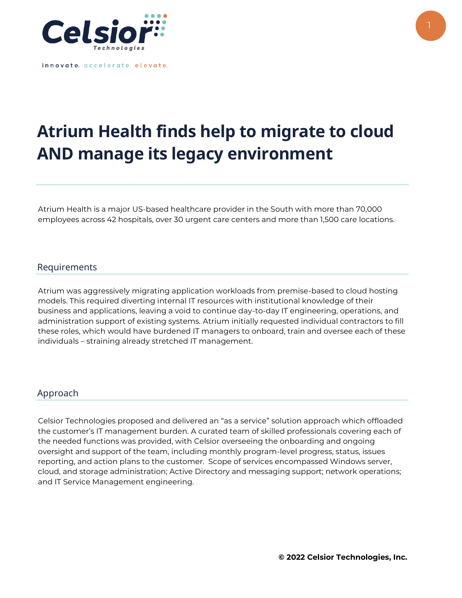

innovate. accelerate. elevate.

## **Atrium Health finds help to migrate to cloud AND manage its legacy environment**

Atrium Health is a major US-based healthcare provider in the South with more than 70,000 employees across 42 hospitals, over 30 urgent care centers and more than 1,500 care locations.

## Requirements

Atrium was aggressively migrating application workloads from premise-based to cloud hosting models. This required diverting internal IT resources with institutional knowledge of their business and applications, leaving a void to continue day-to-day IT engineering, operations, and administration support of existing systems. Atrium initially requested individual contractors to fill these roles, which would have burdened IT managers to onboard, train and oversee each of these individuals – straining already stretched IT management.

## Approach

Celsior Technologies proposed and delivered an "as a service" solution approach which offloaded the customer's IT management burden. A curated team of skilled professionals covering each of the needed functions was provided, with Celsior overseeing the onboarding and ongoing oversight and support of the team, including monthly program-level progress, status, issues reporting, and action plans to the customer. Scope of services encompassed Windows server, cloud, and storage administration; Active Directory and messaging support; network operations; and IT Service Management engineering.